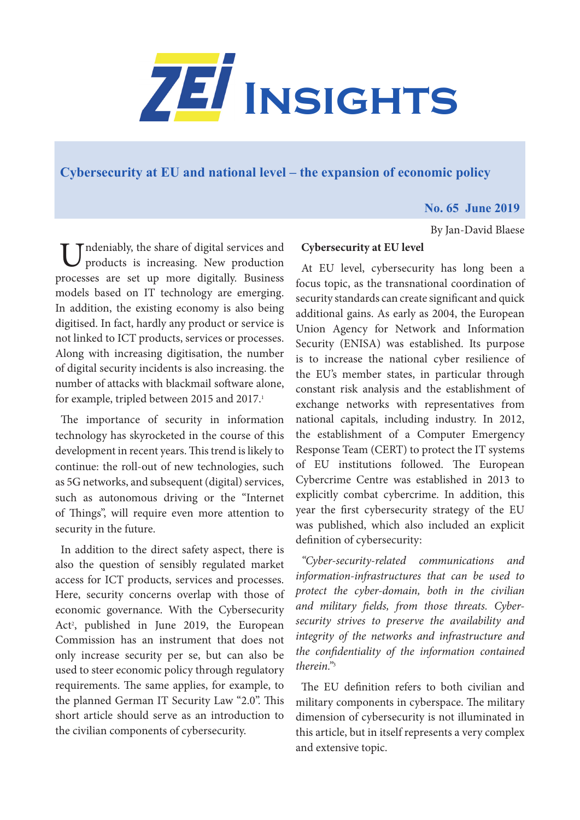

# **[Cybersecurity at EU and national level – the expansion of economic policy](https://www.zei.uni-bonn.de/publications/zei-insights)**

# **No. 65 June 2019**

By Jan-David Blaese

 $\top$  Tndeniably, the share of digital services and products is increasing. New production processes are set up more digitally. Business models based on IT technology are emerging. In addition, the existing economy is also being digitised. In fact, hardly any product or service is not linked to ICT products, services or processes. Along with increasing digitisation, the number of digital security incidents is also increasing. the number of attacks with blackmail software alone, for example, tripled between 2015 and 2017.<sup>1</sup>

The importance of security in information technology has skyrocketed in the course of this development in recent years. This trend is likely to continue: the roll-out of new technologies, such as 5G networks, and subsequent (digital) services, such as autonomous driving or the "Internet of Things", will require even more attention to security in the future.

In addition to the direct safety aspect, there is also the question of sensibly regulated market access for ICT products, services and processes. Here, security concerns overlap with those of economic governance. With the Cybersecurity Act<sup>2</sup>, published in June 2019, the European Commission has an instrument that does not only increase security per se, but can also be used to steer economic policy through regulatory requirements. The same applies, for example, to the planned German IT Security Law "2.0". This short article should serve as an introduction to the civilian components of cybersecurity.

# **Cybersecurity at EU level**

At EU level, cybersecurity has long been a focus topic, as the transnational coordination of security standards can create significant and quick additional gains. As early as 2004, the European Union Agency for Network and Information Security (ENISA) was established. Its purpose is to increase the national cyber resilience of the EU's member states, in particular through constant risk analysis and the establishment of exchange networks with representatives from national capitals, including industry. In 2012, the establishment of a Computer Emergency Response Team (CERT) to protect the IT systems of EU institutions followed. The European Cybercrime Centre was established in 2013 to explicitly combat cybercrime. In addition, this year the first cybersecurity strategy of the EU was published, which also included an explicit definition of cybersecurity:

*"Cyber-security-related communications and information-infrastructures that can be used to protect the cyber-domain, both in the civilian and military fields, from those threats. Cybersecurity strives to preserve the availability and integrity of the networks and infrastructure and the confidentiality of the information contained therein."*<sup>3</sup>

The EU definition refers to both civilian and military components in cyberspace. The military dimension of cybersecurity is not illuminated in this article, but in itself represents a very complex and extensive topic.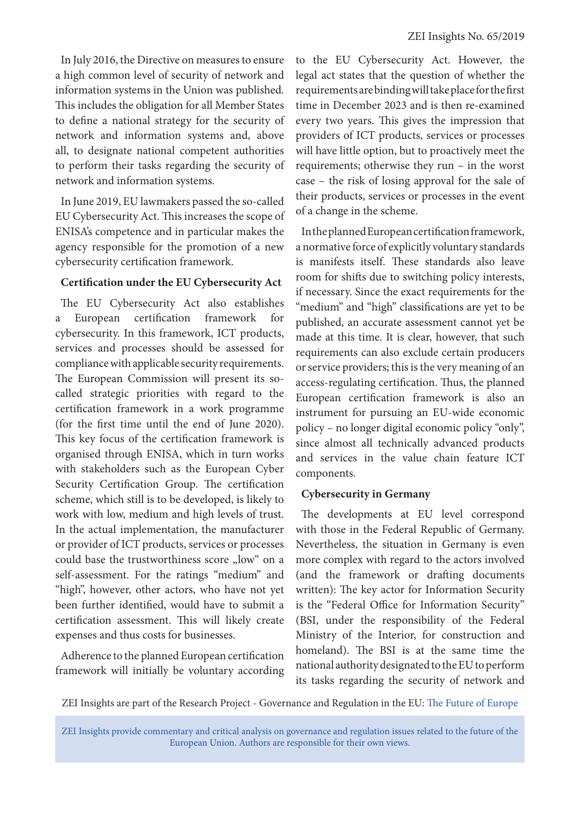In July 2016, the Directive on measures to ensure a high common level of security of network and information systems in the Union was published. This includes the obligation for all Member States to define a national strategy for the security of network and information systems and, above all, to designate national competent authorities to perform their tasks regarding the security of network and information systems.

In June 2019, EU lawmakers passed the so-called EU Cybersecurity Act. This increases the scope of ENISA's competence and in particular makes the agency responsible for the promotion of a new cybersecurity certification framework.

### **Certification under the EU Cybersecurity Act**

The EU Cybersecurity Act also establishes European certification framework for cybersecurity. In this framework, ICT products, services and processes should be assessed for compliance with applicable security requirements. The European Commission will present its socalled strategic priorities with regard to the certification framework in a work programme (for the first time until the end of June 2020). This key focus of the certification framework is organised through ENISA, which in turn works with stakeholders such as the European Cyber Security Certification Group. The certification scheme, which still is to be developed, is likely to work with low, medium and high levels of trust. In the actual implementation, the manufacturer or provider of ICT products, services or processes could base the trustworthiness score "low" on a self-assessment. For the ratings "medium" and "high", however, other actors, who have not yet been further identified, would have to submit a certification assessment. This will likely create expenses and thus costs for businesses.

Adherence to the planned European certification framework will initially be voluntary according to the EU Cybersecurity Act. However, the legal act states that the question of whether the requirements are binding will take place for the first time in December 2023 and is then re-examined every two years. This gives the impression that providers of ICT products, services or processes will have little option, but to proactively meet the requirements; otherwise they run – in the worst case – the risk of losing approval for the sale of their products, services or processes in the event of a change in the scheme.

In the planned European certification framework, a normative force of explicitly voluntary standards is manifests itself. These standards also leave room for shifts due to switching policy interests, if necessary. Since the exact requirements for the "medium" and "high" classifications are yet to be published, an accurate assessment cannot yet be made at this time. It is clear, however, that such requirements can also exclude certain producers or service providers; this is the very meaning of an access-regulating certification. Thus, the planned European certification framework is also an instrument for pursuing an EU-wide economic policy – no longer digital economic policy "only", since almost all technically advanced products and services in the value chain feature ICT components.

### **Cybersecurity in Germany**

The developments at EU level correspond with those in the Federal Republic of Germany. Nevertheless, the situation in Germany is even more complex with regard to the actors involved (and the framework or drafting documents written): The key actor for Information Security is the "Federal Office for Information Security" (BSI, under the responsibility of the Federal Ministry of the Interior, for construction and homeland). The BSI is at the same time the national authority designated to the EU to perform its tasks regarding the security of network and

ZEI Insights are part of the Research Project - Governance and Regulation in the EU: [The Future of Europe](https://www.zei.uni-bonn.de/research/governance-and-regulation?set_language=en)

ZEI Insights provide commentary and critical analysis on governance and regulation issues related to the future of the European Union. Authors are responsible for their own views.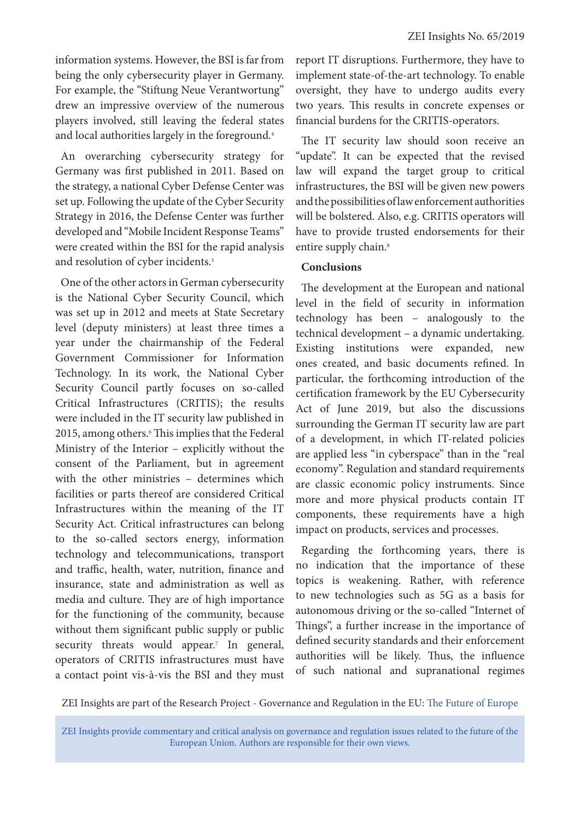information systems. However, the BSI is far from being the only cybersecurity player in Germany. For example, the "Stiftung Neue Verantwortung" drew an impressive overview of the numerous players involved, still leaving the federal states and local authorities largely in the foreground.<sup>4</sup>

An overarching cybersecurity strategy for Germany was first published in 2011. Based on the strategy, a national Cyber Defense Center was set up. Following the update of the Cyber Security Strategy in 2016, the Defense Center was further developed and "Mobile Incident Response Teams" were created within the BSI for the rapid analysis and resolution of cyber incidents.<sup>5</sup>

One of the other actors in German cybersecurity is the National Cyber Security Council, which was set up in 2012 and meets at State Secretary level (deputy ministers) at least three times a year under the chairmanship of the Federal Government Commissioner for Information Technology. In its work, the National Cyber Security Council partly focuses on so-called Critical Infrastructures (CRITIS); the results were included in the IT security law published in 2015, among others.6 This implies that the Federal Ministry of the Interior – explicitly without the consent of the Parliament, but in agreement with the other ministries – determines which facilities or parts thereof are considered Critical Infrastructures within the meaning of the IT Security Act. Critical infrastructures can belong to the so-called sectors energy, information technology and telecommunications, transport and traffic, health, water, nutrition, finance and insurance, state and administration as well as media and culture. They are of high importance for the functioning of the community, because without them significant public supply or public security threats would appear.<sup>7</sup> In general, operators of CRITIS infrastructures must have a contact point vis-à-vis the BSI and they must

report IT disruptions. Furthermore, they have to implement state-of-the-art technology. To enable oversight, they have to undergo audits every two years. This results in concrete expenses or financial burdens for the CRITIS-operators.

The IT security law should soon receive an "update". It can be expected that the revised law will expand the target group to critical infrastructures, the BSI will be given new powers and the possibilities of law enforcement authorities will be bolstered. Also, e.g. CRITIS operators will have to provide trusted endorsements for their entire supply chain.<sup>8</sup>

# **Conclusions**

The development at the European and national level in the field of security in information technology has been – analogously to the technical development – a dynamic undertaking. Existing institutions were expanded, new ones created, and basic documents refined. In particular, the forthcoming introduction of the certification framework by the EU Cybersecurity Act of June 2019, but also the discussions surrounding the German IT security law are part of a development, in which IT-related policies are applied less "in cyberspace" than in the "real economy". Regulation and standard requirements are classic economic policy instruments. Since more and more physical products contain IT components, these requirements have a high impact on products, services and processes.

Regarding the forthcoming years, there is no indication that the importance of these topics is weakening. Rather, with reference to new technologies such as 5G as a basis for autonomous driving or the so-called "Internet of Things", a further increase in the importance of defined security standards and their enforcement authorities will be likely. Thus, the influence of such national and supranational regimes

ZEI Insights are part of the Research Project - Governance and Regulation in the EU: [The Future of Europe](https://www.zei.uni-bonn.de/research/governance-and-regulation?set_language=en)

ZEI Insights provide commentary and critical analysis on governance and regulation issues related to the future of the European Union. Authors are responsible for their own views.